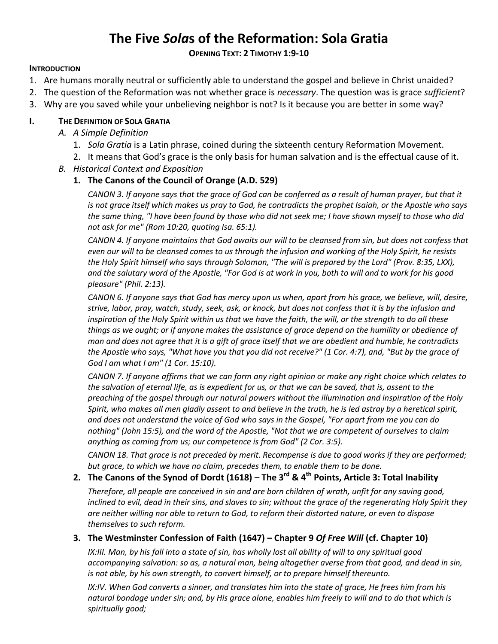# **The Five** *Sola***s of the Reformation: Sola Gratia**

**OPENING TEXT: 2 TIMOTHY 1:9-10**

#### **INTRODUCTION**

- 1. Are humans morally neutral or sufficiently able to understand the gospel and believe in Christ unaided?
- 2. The question of the Reformation was not whether grace is *necessary*. The question was is grace *sufficient*?
- 3. Why are you saved while your unbelieving neighbor is not? Is it because you are better in some way?

## **I. THE DEFINITION OF SOLA GRATIA**

- *A. A Simple Definition*
	- 1. *Sola Gratia* is a Latin phrase, coined during the sixteenth century Reformation Movement.
	- 2. It means that God's grace is the only basis for human salvation and is the effectual cause of it.
- *B. Historical Context and Exposition*

## **1. The Canons of the Council of Orange (A.D. 529)**

*CANON 3. If anyone says that the grace of God can be conferred as a result of human prayer, but that it is not grace itself which makes us pray to God, he contradicts the prophet Isaiah, or the Apostle who says the same thing, "I have been found by those who did not seek me; I have shown myself to those who did not ask for me" [\(Rom 10:20,](http://biblia.com/bible/kjv1900/Rom%2010.20) quotin[g Isa. 65:1\)](http://biblia.com/bible/kjv1900/Isa.%2065.1).*

*CANON 4. If anyone maintains that God awaits our will to be cleansed from sin, but does not confess that even our will to be cleansed comes to us through the infusion and working of the Holy Spirit, he resists the Holy Spirit himself who says through Solomon, "The will is prepared by the Lord" [\(Prov. 8:35,](http://biblia.com/bible/kjv1900/Prov.%208.35) LXX), and the salutary word of the Apostle, "For God is at work in you, both to will and to work for his good pleasure" [\(Phil. 2:13\)](http://biblia.com/bible/kjv1900/Phil.%202.13).*

*CANON 6. If anyone says that God has mercy upon us when, apart from his grace, we believe, will, desire, strive, labor, pray, watch, study, seek, ask, or knock, but does not confess that it is by the infusion and inspiration of the Holy Spirit within us that we have the faith, the will, or the strength to do all these things as we ought; or if anyone makes the assistance of grace depend on the humility or obedience of man and does not agree that it is a gift of grace itself that we are obedient and humble, he contradicts the Apostle who says, "What have you that you did not receive?" [\(1 Cor. 4:7\)](http://biblia.com/bible/kjv1900/1%20Cor.%204.7), and, "But by the grace of God I am what I am" [\(1 Cor. 15:10\)](http://biblia.com/bible/kjv1900/1%20Cor.%2015.10).*

*CANON 7. If anyone affirms that we can form any right opinion or make any right choice which relates to the salvation of eternal life, as is expedient for us, or that we can be saved, that is, assent to the preaching of the gospel through our natural powers without the illumination and inspiration of the Holy Spirit, who makes all men gladly assent to and believe in the truth, he is led astray by a heretical spirit, and does not understand the voice of God who says in the Gospel, "For apart from me you can do nothing" [\(John 15:5\)](http://biblia.com/bible/kjv1900/John%2015.5), and the word of the Apostle, "Not that we are competent of ourselves to claim anything as coming from us; our competence is from God" [\(2 Cor. 3:5\)](http://biblia.com/bible/kjv1900/2%20Cor.%203.5).*

*CANON 18. That grace is not preceded by merit. Recompense is due to good works if they are performed; but grace, to which we have no claim, precedes them, to enable them to be done.*

## **2. The Canons of the Synod of Dordt (1618) – The 3rd & 4th Points, Article 3: Total Inability**

*Therefore, all people are conceived in sin and are born children of wrath, unfit for any saving good, inclined to evil, dead in their sins, and slaves to sin; without the grace of the regenerating Holy Spirit they are neither willing nor able to return to God, to reform their distorted nature, or even to dispose themselves to such reform.*

## **3. The Westminster Confession of Faith (1647) – Chapter 9** *Of Free Will* **(cf. Chapter 10)**

*IX:III. Man, by his fall into a state of sin, has wholly lost all ability of will to any spiritual good accompanying salvation: so as, a natural man, being altogether averse from that good, and dead in sin, is not able, by his own strength, to convert himself, or to prepare himself thereunto.*

*IX:IV. When God converts a sinner, and translates him into the state of grace, He frees him from his natural bondage under sin; and, by His grace alone, enables him freely to will and to do that which is spiritually good;*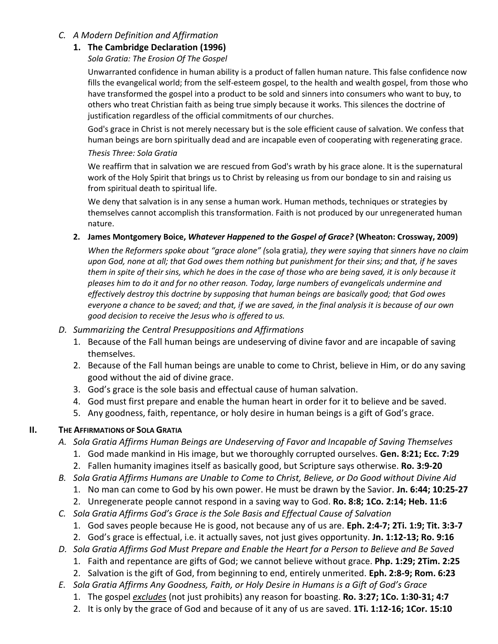## *C. A Modern Definition and Affirmation*

### **1. The Cambridge Declaration (1996)**

### *Sola Gratia: The Erosion Of The Gospel*

Unwarranted confidence in human ability is a product of fallen human nature. This false confidence now fills the evangelical world; from the self-esteem gospel, to the health and wealth gospel, from those who have transformed the gospel into a product to be sold and sinners into consumers who want to buy, to others who treat Christian faith as being true simply because it works. This silences the doctrine of justification regardless of the official commitments of our churches.

God's grace in Christ is not merely necessary but is the sole efficient cause of salvation. We confess that human beings are born spiritually dead and are incapable even of cooperating with regenerating grace.

#### *Thesis Three: Sola Gratia*

We reaffirm that in salvation we are rescued from God's wrath by his grace alone. It is the supernatural work of the Holy Spirit that brings us to Christ by releasing us from our bondage to sin and raising us from spiritual death to spiritual life.

We deny that salvation is in any sense a human work. Human methods, techniques or strategies by themselves cannot accomplish this transformation. Faith is not produced by our unregenerated human nature.

#### **2. James Montgomery Boice,** *Whatever Happened to the Gospel of Grace?* **(Wheaton: Crossway, 2009)**

*When the Reformers spoke about "grace alone" (*sola gratia*), they were saying that sinners have no claim upon God, none at all; that God owes them nothing but punishment for their sins; and that, if he saves them in spite of their sins, which he does in the case of those who are being saved, it is only because it pleases him to do it and for no other reason. Today, large numbers of evangelicals undermine and effectively destroy this doctrine by supposing that human beings are basically good; that God owes everyone a chance to be saved; and that, if we are saved, in the final analysis it is because of our own good decision to receive the Jesus who is offered to us.*

#### *D. Summarizing the Central Presuppositions and Affirmations*

- 1. Because of the Fall human beings are undeserving of divine favor and are incapable of saving themselves.
- 2. Because of the Fall human beings are unable to come to Christ, believe in Him, or do any saving good without the aid of divine grace.
- 3. God's grace is the sole basis and effectual cause of human salvation.
- 4. God must first prepare and enable the human heart in order for it to believe and be saved.
- 5. Any goodness, faith, repentance, or holy desire in human beings is a gift of God's grace.

## **II. THE AFFIRMATIONS OF SOLA GRATIA**

- *A. Sola Gratia Affirms Human Beings are Undeserving of Favor and Incapable of Saving Themselves*
	- 1. God made mankind in His image, but we thoroughly corrupted ourselves. **Gen. 8:21; Ecc. 7:29**
	- 2. Fallen humanity imagines itself as basically good, but Scripture says otherwise. **Ro. 3:9-20**
- *B. Sola Gratia Affirms Humans are Unable to Come to Christ, Believe, or Do Good without Divine Aid*
	- 1. No man can come to God by his own power. He must be drawn by the Savior. **Jn. 6:44; 10:25-27**
	- 2. Unregenerate people cannot respond in a saving way to God. **Ro. 8:8; 1Co. 2:14; Heb. 11:6**
- *C. Sola Gratia Affirms God's Grace is the Sole Basis and Effectual Cause of Salvation*
	- 1. God saves people because He is good, not because any of us are. **Eph. 2:4-7; 2Ti. 1:9; Tit. 3:3-7**
	- 2. God's grace is effectual, i.e. it actually saves, not just gives opportunity. **Jn. 1:12-13; Ro. 9:16**
- *D. Sola Gratia Affirms God Must Prepare and Enable the Heart for a Person to Believe and Be Saved*
	- 1. Faith and repentance are gifts of God; we cannot believe without grace. **Php. 1:29; 2Tim. 2:25**
	- 2. Salvation is the gift of God, from beginning to end, entirely unmerited. **Eph. 2:8-9; Rom. 6:23**
- *E. Sola Gratia Affirms Any Goodness, Faith, or Holy Desire in Humans is a Gift of God's Grace*
	- 1. The gospel *excludes* (not just prohibits) any reason for boasting. **Ro. 3:27; 1Co. 1:30-31; 4:7**
	- 2. It is only by the grace of God and because of it any of us are saved. **1Ti. 1:12-16; 1Cor. 15:10**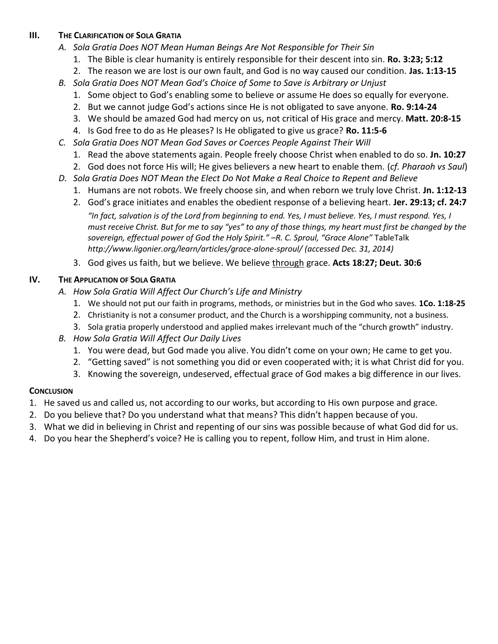## **III. THE CLARIFICATION OF SOLA GRATIA**

- *A. Sola Gratia Does NOT Mean Human Beings Are Not Responsible for Their Sin*
	- 1. The Bible is clear humanity is entirely responsible for their descent into sin. **Ro. 3:23; 5:12**
	- 2. The reason we are lost is our own fault, and God is no way caused our condition. **Jas. 1:13-15**
- *B. Sola Gratia Does NOT Mean God's Choice of Some to Save is Arbitrary or Unjust*
	- 1. Some object to God's enabling some to believe or assume He does so equally for everyone.
	- 2. But we cannot judge God's actions since He is not obligated to save anyone. **Ro. 9:14-24**
	- 3. We should be amazed God had mercy on us, not critical of His grace and mercy. **Matt. 20:8-15**
	- 4. Is God free to do as He pleases? Is He obligated to give us grace? **Ro. 11:5-6**
- *C. Sola Gratia Does NOT Mean God Saves or Coerces People Against Their Will*
	- 1. Read the above statements again. People freely choose Christ when enabled to do so. **Jn. 10:27**
	- 2. God does not force His will; He gives believers a new heart to enable them. (*cf. Pharaoh vs Saul*)
- *D. Sola Gratia Does NOT Mean the Elect Do Not Make a Real Choice to Repent and Believe*
	- 1. Humans are not robots. We freely choose sin, and when reborn we truly love Christ. **Jn. 1:12-13**
	- 2. God's grace initiates and enables the obedient response of a believing heart. **Jer. 29:13; cf. 24:7** *"In fact, salvation is of the Lord from beginning to end. Yes, I must believe. Yes, I must respond. Yes, I must receive Christ. But for me to say "yes" to any of those things, my heart must first be changed by the sovereign, effectual power of God the Holy Spirit." –R. C. Sproul, "Grace Alone"* TableTalk *http://www.ligonier.org/learn/articles/grace-alone-sproul/ (accessed Dec. 31, 2014)*
	- 3. God gives us faith, but we believe. We believe through grace. **Acts 18:27; Deut. 30:6**

## **IV. THE APPLICATION OF SOLA GRATIA**

- *A. How Sola Gratia Will Affect Our Church's Life and Ministry*
	- 1. We should not put our faith in programs, methods, or ministries but in the God who saves. **1Co. 1:18-25**
	- 2. Christianity is not a consumer product, and the Church is a worshipping community, not a business.
	- 3. Sola gratia properly understood and applied makes irrelevant much of the "church growth" industry.
- *B. How Sola Gratia Will Affect Our Daily Lives*
	- 1. You were dead, but God made you alive. You didn't come on your own; He came to get you.
	- 2. "Getting saved" is not something you did or even cooperated with; it is what Christ did for you.
	- 3. Knowing the sovereign, undeserved, effectual grace of God makes a big difference in our lives.

## **CONCLUSION**

- 1. He saved us and called us, not according to our works, but according to His own purpose and grace.
- 2. Do you believe that? Do you understand what that means? This didn't happen because of you.
- 3. What we did in believing in Christ and repenting of our sins was possible because of what God did for us.
- 4. Do you hear the Shepherd's voice? He is calling you to repent, follow Him, and trust in Him alone.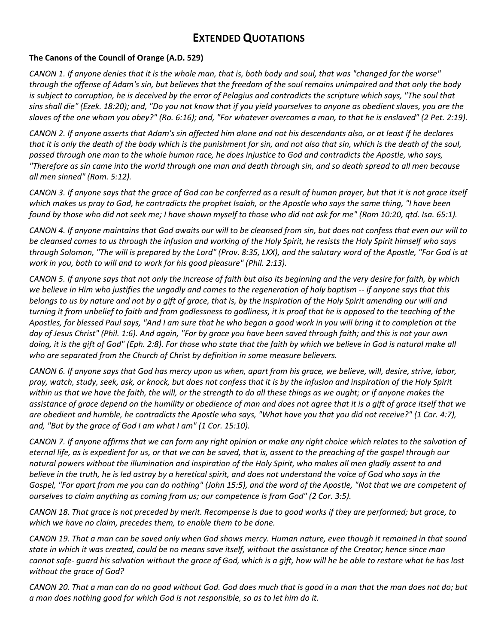## **EXTENDED QUOTATIONS**

#### **The Canons of the Council of Orange (A.D. 529)**

*CANON 1. If anyone denies that it is the whole man, that is, both body and soul, that was "changed for the worse" through the offense of Adam's sin, but believes that the freedom of the soul remains unimpaired and that only the body is subject to corruption, he is deceived by the error of Pelagius and contradicts the scripture which says, "The soul that sins shall die" [\(Ezek. 18:20\)](http://biblia.com/bible/kjv1900/Ezek.%2018.20); and, "Do you not know that if you yield yourselves to anyone as obedient slaves, you are the slaves of the one whom you obey?" [\(Ro. 6:16\)](http://biblia.com/bible/kjv1900/Rom.%206.16); and, "For whatever overcomes a man, to that he is enslaved" [\(2 Pet. 2:19\)](http://biblia.com/bible/kjv1900/2%20Pet.%202.19).*

*CANON 2. If anyone asserts that Adam's sin affected him alone and not his descendants also, or at least if he declares that it is only the death of the body which is the punishment for sin, and not also that sin, which is the death of the soul, passed through one man to the whole human race, he does injustice to God and contradicts the Apostle, who says, "Therefore as sin came into the world through one man and death through sin, and so death spread to all men because all men sinned" [\(Rom. 5:12\)](http://biblia.com/bible/kjv1900/Rom.%205.12).*

*CANON 3. If anyone says that the grace of God can be conferred as a result of human prayer, but that it is not grace itself which makes us pray to God, he contradicts the prophet Isaiah, or the Apostle who says the same thing, "I have been found by those who did not seek me; I have shown myself to those who did not ask for me" [\(Rom 10:20,](http://biblia.com/bible/kjv1900/Rom%2010.20) qtd. [Isa. 65:1\)](http://biblia.com/bible/kjv1900/Isa.%2065.1).*

*CANON 4. If anyone maintains that God awaits our will to be cleansed from sin, but does not confess that even our will to be cleansed comes to us through the infusion and working of the Holy Spirit, he resists the Holy Spirit himself who says through Solomon, "The will is prepared by the Lord" [\(Prov. 8:35,](http://biblia.com/bible/kjv1900/Prov.%208.35) LXX), and the salutary word of the Apostle, "For God is at work in you, both to will and to work for his good pleasure" [\(Phil. 2:13\)](http://biblia.com/bible/kjv1900/Phil.%202.13).*

*CANON 5. If anyone says that not only the increase of faith but also its beginning and the very desire for faith, by which we believe in Him who justifies the ungodly and comes to the regeneration of holy baptism -- if anyone says that this belongs to us by nature and not by a gift of grace, that is, by the inspiration of the Holy Spirit amending our will and turning it from unbelief to faith and from godlessness to godliness, it is proof that he is opposed to the teaching of the Apostles, for blessed Paul says, "And I am sure that he who began a good work in you will bring it to completion at the day of Jesus Christ" [\(Phil. 1:6\)](http://biblia.com/bible/kjv1900/Phil.%201.6). And again, "For by grace you have been saved through faith; and this is not your own doing, it is the gift of God" [\(Eph. 2:8\)](http://biblia.com/bible/kjv1900/Eph.%202.8). For those who state that the faith by which we believe in God is natural make all who are separated from the Church of Christ by definition in some measure believers.*

*CANON 6. If anyone says that God has mercy upon us when, apart from his grace, we believe, will, desire, strive, labor, pray, watch, study, seek, ask, or knock, but does not confess that it is by the infusion and inspiration of the Holy Spirit within us that we have the faith, the will, or the strength to do all these things as we ought; or if anyone makes the assistance of grace depend on the humility or obedience of man and does not agree that it is a gift of grace itself that we are obedient and humble, he contradicts the Apostle who says, "What have you that you did not receive?" [\(1 Cor. 4:7\)](http://biblia.com/bible/kjv1900/1%20Cor.%204.7), and, "But by the grace of God I am what I am" [\(1 Cor. 15:10\)](http://biblia.com/bible/kjv1900/1%20Cor.%2015.10).*

*CANON 7. If anyone affirms that we can form any right opinion or make any right choice which relates to the salvation of eternal life, as is expedient for us, or that we can be saved, that is, assent to the preaching of the gospel through our natural powers without the illumination and inspiration of the Holy Spirit, who makes all men gladly assent to and believe in the truth, he is led astray by a heretical spirit, and does not understand the voice of God who says in the Gospel, "For apart from me you can do nothing" [\(John 15:5\)](http://biblia.com/bible/kjv1900/John%2015.5), and the word of the Apostle, "Not that we are competent of ourselves to claim anything as coming from us; our competence is from God" [\(2 Cor. 3:5\)](http://biblia.com/bible/kjv1900/2%20Cor.%203.5).*

*CANON 18. That grace is not preceded by merit. Recompense is due to good works if they are performed; but grace, to which we have no claim, precedes them, to enable them to be done.*

*CANON 19. That a man can be saved only when God shows mercy. Human nature, even though it remained in that sound state in which it was created, could be no means save itself, without the assistance of the Creator; hence since man cannot safe- guard his salvation without the grace of God, which is a gift, how will he be able to restore what he has lost without the grace of God?*

*CANON 20. That a man can do no good without God. God does much that is good in a man that the man does not do; but a man does nothing good for which God is not responsible, so as to let him do it.*